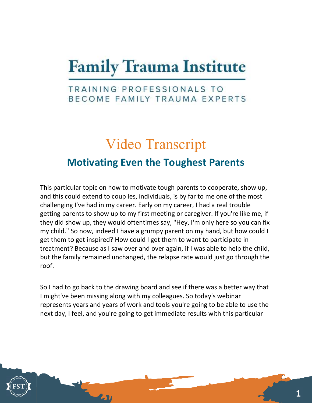## **Family Trauma Institute**

## TRAINING PROFESSIONALS TO BECOME FAMILY TRAUMA EXPERTS

## Video Transcript Motivating Even the Toughest Parents

This particular topic on how to motivate tough parents to cooperate, show up, and this could extend to coup les, individuals, is by far to me one of the most challenging I've had in my career. Early on my career, I had a real trouble getting parents to show up to my first meeting or caregiver. If you're like me, if they did show up, they would oftentimes say, "Hey, I'm only here so you can fix my child." So now, indeed I have a grumpy parent on my hand, but how could I get them to get inspired? How could I get them to want to participate in treatment? Because as I saw over and over again, if I was able to help the child, but the family remained unchanged, the relapse rate would just go through the roof.

So I had to go back to the drawing board and see if there was a better way that I might've been missing along with my colleagues. So today's webinar represents years and years of work and tools you're going to be able to use the next day, I feel, and you're going to get immediate results with this particular

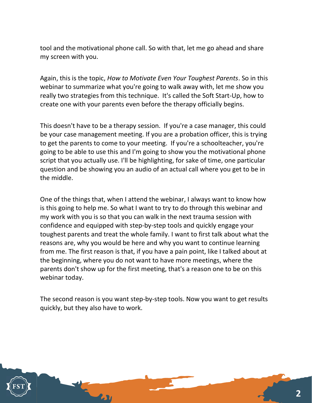tool and the motivational phone call. So with that, let me go ahead and share my screen with you.

Again, this is the topic, How to Motivate Even Your Toughest Parents. So in this webinar to summarize what you're going to walk away with, let me show you really two strategies from this technique. It's called the Soft Start-Up, how to create one with your parents even before the therapy officially begins.

This doesn't have to be a therapy session. If you're a case manager, this could be your case management meeting. If you are a probation officer, this is trying to get the parents to come to your meeting. If you're a schoolteacher, you're going to be able to use this and I'm going to show you the motivational phone script that you actually use. I'll be highlighting, for sake of time, one particular question and be showing you an audio of an actual call where you get to be in the middle.

One of the things that, when I attend the webinar, I always want to know how is this going to help me. So what I want to try to do through this webinar and my work with you is so that you can walk in the next trauma session with confidence and equipped with step-by-step tools and quickly engage your toughest parents and treat the whole family. I want to first talk about what the reasons are, why you would be here and why you want to continue learning from me. The first reason is that, if you have a pain point, like I talked about at the beginning, where you do not want to have more meetings, where the parents don't show up for the first meeting, that's a reason one to be on this webinar today.

The second reason is you want step-by-step tools. Now you want to get results quickly, but they also have to work.

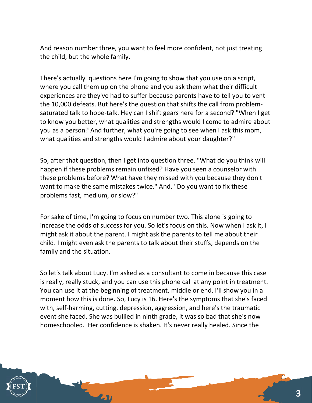And reason number three, you want to feel more confident, not just treating the child, but the whole family.

There's actually questions here I'm going to show that you use on a script, where you call them up on the phone and you ask them what their difficult experiences are they've had to suffer because parents have to tell you to vent the 10,000 defeats. But here's the question that shifts the call from problemsaturated talk to hope-talk. Hey can I shift gears here for a second? "When I get to know you better, what qualities and strengths would I come to admire about you as a person? And further, what you're going to see when I ask this mom, what qualities and strengths would I admire about your daughter?"

So, after that question, then I get into question three. "What do you think will happen if these problems remain unfixed? Have you seen a counselor with these problems before? What have they missed with you because they don't want to make the same mistakes twice." And, "Do you want to fix these problems fast, medium, or slow?"

For sake of time, I'm going to focus on number two. This alone is going to increase the odds of success for you. So let's focus on this. Now when I ask it, I might ask it about the parent. I might ask the parents to tell me about their child. I might even ask the parents to talk about their stuffs, depends on the family and the situation.

So let's talk about Lucy. I'm asked as a consultant to come in because this case is really, really stuck, and you can use this phone call at any point in treatment. You can use it at the beginning of treatment, middle or end. I'll show you in a moment how this is done. So, Lucy is 16. Here's the symptoms that she's faced with, self-harming, cutting, depression, aggression, and here's the traumatic event she faced. She was bullied in ninth grade, it was so bad that she's now homeschooled. Her confidence is shaken. It's never really healed. Since the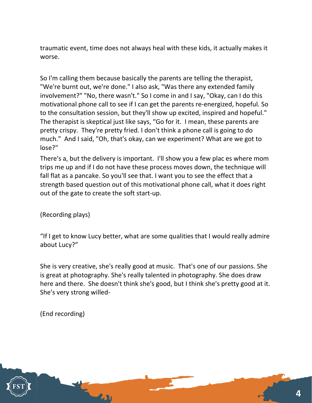traumatic event, time does not always heal with these kids, it actually makes it worse.

So I'm calling them because basically the parents are telling the therapist, "We're burnt out, we're done." I also ask, "Was there any extended family involvement?" "No, there wasn't." So I come in and I say, "Okay, can I do this motivational phone call to see if I can get the parents re-energized, hopeful. So to the consultation session, but they'll show up excited, inspired and hopeful." The therapist is skeptical just like says, "Go for it. I mean, these parents are pretty crispy. They're pretty fried. I don't think a phone call is going to do much." And I said, "Oh, that's okay, can we experiment? What are we got to lose?"

There's a, but the delivery is important. I'll show you a few plac es where mom trips me up and if I do not have these process moves down, the technique will fall flat as a pancake. So you'll see that. I want you to see the effect that a strength based question out of this motivational phone call, what it does right out of the gate to create the soft start-up.

(Recording plays)

"If I get to know Lucy better, what are some qualities that I would really admire about Lucy?"

She is very creative, she's really good at music. That's one of our passions. She is great at photography. She's really talented in photography. She does draw here and there. She doesn't think she's good, but I think she's pretty good at it. She's very strong willed-

(End recording)

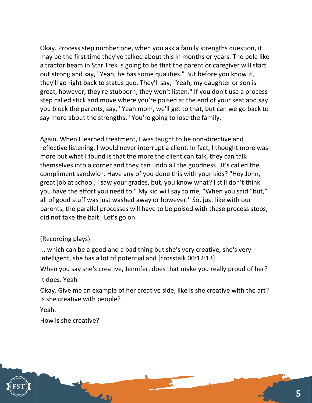Okay. Process step number one, when you ask a family strengths question, it may be the first time they've talked about this in months or years. The pole like a tractor beam in Star Trek is going to be that the parent or caregiver will start out strong and say, "Yeah, he has some qualities." But before you know it, they'll go right back to status quo. They'll say, "Yeah, my daughter or son is great, however, they're stubborn, they won't listen." If you don't use a process step called stick and move where you're poised at the end of your seat and say you block the parents, say, "Yeah mom, we'll get to that, but can we go back to say more about the strengths." You're going to lose the family.

Again. When I learned treatment, I was taught to be non-directive and reflective listening. I would never interrupt a client. In fact, I thought more was more but what I found is that the more the client can talk, they can talk themselves into a corner and they can undo all the goodness. It's called the compliment sandwich. Have any of you done this with your kids? "Hey John, great job at school, I saw your grades, but, you know what? I still don't think you have the effort you need to." My kid will say to me, "When you said "but," all of good stuff was just washed away or however." So, just like with our parents, the parallel processes will have to be poised with these process steps, did not take the bait. Let's go on.

## (Recording plays)

... which can be a good and a bad thing but she's very creative, she's very intelligent, she has a lot of potential and [crosstalk 00:12:13]

When you say she's creative, Jennifer, does that make you really proud of her?

It does. Yeah

Okay. Give me an example of her creative side, like is she creative with the art? Is she creative with people?

Yeah.

How is she creative?

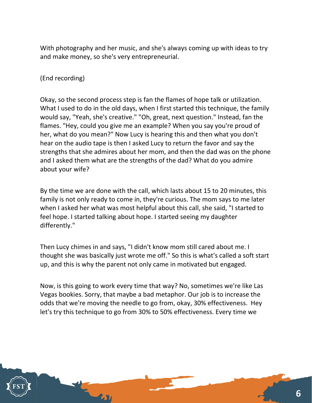With photography and her music, and she's always coming up with ideas to try and make money, so she's very entrepreneurial.

(End recording)

Okay, so the second process step is fan the flames of hope talk or utilization. What I used to do in the old days, when I first started this technique, the family would say, "Yeah, she's creative." "Oh, great, next question." Instead, fan the flames. "Hey, could you give me an example? When you say you're proud of her, what do you mean?" Now Lucy is hearing this and then what you don't hear on the audio tape is then I asked Lucy to return the favor and say the strengths that she admires about her mom, and then the dad was on the phone and I asked them what are the strengths of the dad? What do you admire about your wife?

By the time we are done with the call, which lasts about 15 to 20 minutes, this family is not only ready to come in, they're curious. The mom says to me later when I asked her what was most helpful about this call, she said, "I started to feel hope. I started talking about hope. I started seeing my daughter differently."

Then Lucy chimes in and says, "I didn't know mom still cared about me. I thought she was basically just wrote me off." So this is what's called a soft start up, and this is why the parent not only came in motivated but engaged.

Now, is this going to work every time that way? No, sometimes we're like Las Vegas bookies. Sorry, that maybe a bad metaphor. Our job is to increase the odds that we're moving the needle to go from, okay, 30% effectiveness. Hey let's try this technique to go from 30% to 50% effectiveness. Every time we